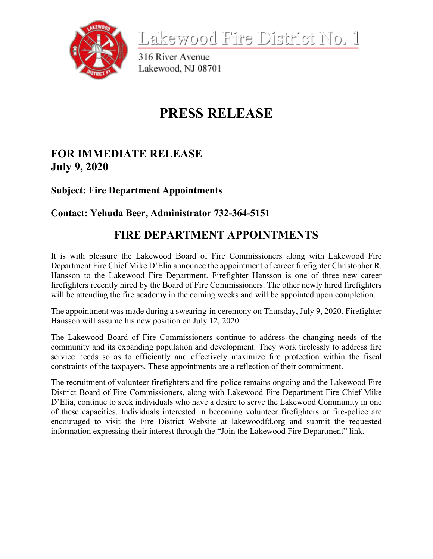

<u>Lakewood Fire District No. 1</u>

316 River Avenue Lakewood, NJ 08701

## **PRESS RELEASE**

## **FOR IMMEDIATE RELEASE July 9, 2020**

**Subject: Fire Department Appointments** 

**Contact: Yehuda Beer, Administrator 732-364-5151**

## **FIRE DEPARTMENT APPOINTMENTS**

It is with pleasure the Lakewood Board of Fire Commissioners along with Lakewood Fire Department Fire Chief Mike D'Elia announce the appointment of career firefighter Christopher R. Hansson to the Lakewood Fire Department. Firefighter Hansson is one of three new career firefighters recently hired by the Board of Fire Commissioners. The other newly hired firefighters will be attending the fire academy in the coming weeks and will be appointed upon completion.

The appointment was made during a swearing-in ceremony on Thursday, July 9, 2020. Firefighter Hansson will assume his new position on July 12, 2020.

The Lakewood Board of Fire Commissioners continue to address the changing needs of the community and its expanding population and development. They work tirelessly to address fire service needs so as to efficiently and effectively maximize fire protection within the fiscal constraints of the taxpayers. These appointments are a reflection of their commitment.

The recruitment of volunteer firefighters and fire-police remains ongoing and the Lakewood Fire District Board of Fire Commissioners, along with Lakewood Fire Department Fire Chief Mike D'Elia, continue to seek individuals who have a desire to serve the Lakewood Community in one of these capacities. Individuals interested in becoming volunteer firefighters or fire-police are encouraged to visit the Fire District Website at lakewoodfd.org and submit the requested information expressing their interest through the "Join the Lakewood Fire Department" link.